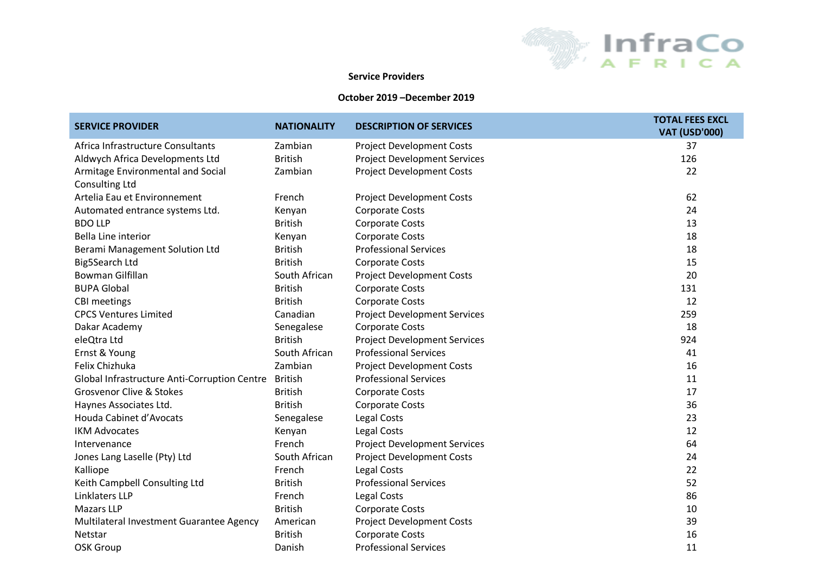

## **Service Providers**

## **October 2019 –December 2019**

| <b>SERVICE PROVIDER</b>                      | <b>NATIONALITY</b> | <b>DESCRIPTION OF SERVICES</b>      | <b>TOTAL FEES EXCL</b><br><b>VAT (USD'000)</b> |
|----------------------------------------------|--------------------|-------------------------------------|------------------------------------------------|
| Africa Infrastructure Consultants            | Zambian            | <b>Project Development Costs</b>    | 37                                             |
| Aldwych Africa Developments Ltd              | <b>British</b>     | <b>Project Development Services</b> | 126                                            |
| Armitage Environmental and Social            | Zambian            | <b>Project Development Costs</b>    | 22                                             |
| <b>Consulting Ltd</b>                        |                    |                                     |                                                |
| Artelia Eau et Environnement                 | French             | <b>Project Development Costs</b>    | 62                                             |
| Automated entrance systems Ltd.              | Kenyan             | <b>Corporate Costs</b>              | 24                                             |
| <b>BDO LLP</b>                               | <b>British</b>     | <b>Corporate Costs</b>              | 13                                             |
| <b>Bella Line interior</b>                   | Kenyan             | <b>Corporate Costs</b>              | 18                                             |
| Berami Management Solution Ltd               | <b>British</b>     | <b>Professional Services</b>        | 18                                             |
| Big5Search Ltd                               | <b>British</b>     | <b>Corporate Costs</b>              | 15                                             |
| Bowman Gilfillan                             | South African      | <b>Project Development Costs</b>    | 20                                             |
| <b>BUPA Global</b>                           | <b>British</b>     | <b>Corporate Costs</b>              | 131                                            |
| <b>CBI</b> meetings                          | <b>British</b>     | <b>Corporate Costs</b>              | 12                                             |
| <b>CPCS Ventures Limited</b>                 | Canadian           | <b>Project Development Services</b> | 259                                            |
| Dakar Academy                                | Senegalese         | <b>Corporate Costs</b>              | 18                                             |
| eleQtra Ltd                                  | <b>British</b>     | <b>Project Development Services</b> | 924                                            |
| Ernst & Young                                | South African      | <b>Professional Services</b>        | 41                                             |
| Felix Chizhuka                               | Zambian            | <b>Project Development Costs</b>    | 16                                             |
| Global Infrastructure Anti-Corruption Centre | <b>British</b>     | <b>Professional Services</b>        | 11                                             |
| <b>Grosvenor Clive &amp; Stokes</b>          | <b>British</b>     | <b>Corporate Costs</b>              | 17                                             |
| Haynes Associates Ltd.                       | <b>British</b>     | <b>Corporate Costs</b>              | 36                                             |
| Houda Cabinet d'Avocats                      | Senegalese         | Legal Costs                         | 23                                             |
| <b>IKM Advocates</b>                         | Kenyan             | Legal Costs                         | 12                                             |
| Intervenance                                 | French             | <b>Project Development Services</b> | 64                                             |
| Jones Lang Laselle (Pty) Ltd                 | South African      | <b>Project Development Costs</b>    | 24                                             |
| Kalliope                                     | French             | <b>Legal Costs</b>                  | 22                                             |
| Keith Campbell Consulting Ltd                | <b>British</b>     | <b>Professional Services</b>        | 52                                             |
| Linklaters LLP                               | French             | Legal Costs                         | 86                                             |
| <b>Mazars LLP</b>                            | <b>British</b>     | <b>Corporate Costs</b>              | 10                                             |
| Multilateral Investment Guarantee Agency     | American           | <b>Project Development Costs</b>    | 39                                             |
| Netstar                                      | <b>British</b>     | <b>Corporate Costs</b>              | 16                                             |
| <b>OSK Group</b>                             | Danish             | <b>Professional Services</b>        | 11                                             |